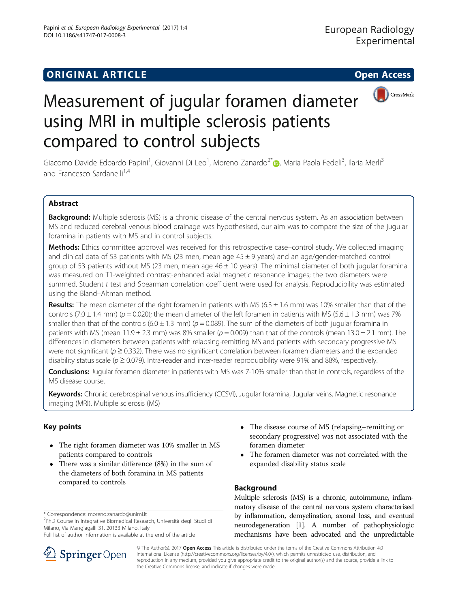## **ORIGINAL ARTICLE CONSUMING A LIGACION** CONSUMING A LIGACION CONSUMING A LIGACION CONSUMING A LIGACION CONSUMING A LIGACION CONSUMING A LIGACION CONSUMING A LIGACION CONSUMING A LIGACION CONSUMING A LIGACION CONSUMING A



# Measurement of jugular foramen diameter using MRI in multiple sclerosis patients compared to control subjects

Giacomo Davide Edoardo Papini<sup>1</sup>[,](http://orcid.org/0000-0001-9640-8534) Giovanni Di Leo<sup>1</sup>, Moreno Zanardo<sup>2\*</sup>®, Maria Paola Fedeli<sup>3</sup>, Ilaria Merli<sup>3</sup> and Francesco Sardanelli<sup>1,4</sup>

## Abstract

Background: Multiple sclerosis (MS) is a chronic disease of the central nervous system. As an association between MS and reduced cerebral venous blood drainage was hypothesised, our aim was to compare the size of the jugular foramina in patients with MS and in control subjects.

Methods: Ethics committee approval was received for this retrospective case-control study. We collected imaging and clinical data of 53 patients with MS (23 men, mean age 45 ± 9 years) and an age/gender-matched control group of 53 patients without MS (23 men, mean age  $46 \pm 10$  years). The minimal diameter of both jugular foramina was measured on T1-weighted contrast-enhanced axial magnetic resonance images; the two diameters were summed. Student  $t$  test and Spearman correlation coefficient were used for analysis. Reproducibility was estimated using the Bland–Altman method.

Results: The mean diameter of the right foramen in patients with MS (6.3  $\pm$  1.6 mm) was 10% smaller than that of the controls (7.0  $\pm$  1.4 mm) (p = 0.020); the mean diameter of the left foramen in patients with MS (5.6  $\pm$  1.3 mm) was 7% smaller than that of the controls  $(6.0 \pm 1.3 \text{ mm})$  ( $p = 0.089$ ). The sum of the diameters of both jugular foramina in patients with MS (mean  $11.9 \pm 2.3$  mm) was 8% smaller ( $p = 0.009$ ) than that of the controls (mean  $13.0 \pm 2.1$  mm). The differences in diameters between patients with relapsing-remitting MS and patients with secondary progressive MS were not significant ( $p \ge 0.332$ ). There was no significant correlation between foramen diameters and the expanded disability status scale ( $p \ge 0.079$ ). Intra-reader and inter-reader reproducibility were 91% and 88%, respectively.

**Conclusions:** Jugular foramen diameter in patients with MS was 7-10% smaller than that in controls, regardless of the MS disease course.

Keywords: Chronic cerebrospinal venous insufficiency (CCSVI), Jugular foramina, Jugular veins, Magnetic resonance imaging (MRI), Multiple sclerosis (MS)

## Key points

- The right foramen diameter was 10% smaller in MS patients compared to controls
- There was a similar difference (8%) in the sum of the diameters of both foramina in MS patients compared to controls
- secondary progressive) was not associated with the foramen diameter The foramen diameter was not correlated with the

The disease course of MS (relapsing–remitting or

expanded disability status scale

## Background

Multiple sclerosis (MS) is a chronic, autoimmune, inflammatory disease of the central nervous system characterised by inflammation, demyelination, axonal loss, and eventual neurodegeneration [\[1\]](#page-4-0). A number of pathophysiologic mechanisms have been advocated and the unpredictable

\* Correspondence: [moreno.zanardo@unimi.it](mailto:moreno.zanardo@unimi.it) <sup>2</sup>

PhD Course in Integrative Biomedical Research, Università degli Studi di Milano, Via Mangiagalli 31, 20133 Milano, Italy

Full list of author information is available at the end of the article



© The Author(s). 2017 **Open Access** This article is distributed under the terms of the Creative Commons Attribution 4.0 International License ([http://creativecommons.org/licenses/by/4.0/\)](http://creativecommons.org/licenses/by/4.0/), which permits unrestricted use, distribution, and reproduction in any medium, provided you give appropriate credit to the original author(s) and the source, provide a link to the Creative Commons license, and indicate if changes were made.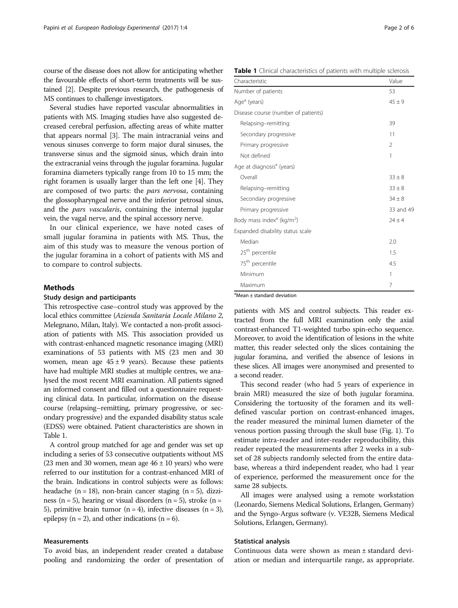<span id="page-1-0"></span>course of the disease does not allow for anticipating whether the favourable effects of short-term treatments will be sustained [\[2\]](#page-4-0). Despite previous research, the pathogenesis of MS continues to challenge investigators.

Several studies have reported vascular abnormalities in patients with MS. Imaging studies have also suggested decreased cerebral perfusion, affecting areas of white matter that appears normal [[3](#page-4-0)]. The main intracranial veins and venous sinuses converge to form major dural sinuses, the transverse sinus and the sigmoid sinus, which drain into the extracranial veins through the jugular foramina. Jugular foramina diameters typically range from 10 to 15 mm; the right foramen is usually larger than the left one [\[4\]](#page-4-0). They are composed of two parts: the pars nervosa, containing the glossopharyngeal nerve and the inferior petrosal sinus, and the pars vascularis, containing the internal jugular vein, the vagal nerve, and the spinal accessory nerve.

In our clinical experience, we have noted cases of small jugular foramina in patients with MS. Thus, the aim of this study was to measure the venous portion of the jugular foramina in a cohort of patients with MS and to compare to control subjects.

### Methods

#### Study design and participants

This retrospective case–control study was approved by the local ethics committee (Azienda Sanitaria Locale Milano 2, Melegnano, Milan, Italy). We contacted a non-profit association of patients with MS. This association provided us with contrast-enhanced magnetic resonance imaging (MRI) examinations of 53 patients with MS (23 men and 30 women, mean age  $45 \pm 9$  years). Because these patients have had multiple MRI studies at multiple centres, we analysed the most recent MRI examination. All patients signed an informed consent and filled out a questionnaire requesting clinical data. In particular, information on the disease course (relapsing–remitting, primary progressive, or secondary progressive) and the expanded disability status scale (EDSS) were obtained. Patient characteristics are shown in Table 1.

A control group matched for age and gender was set up including a series of 53 consecutive outpatients without MS (23 men and 30 women, mean age  $46 \pm 10$  years) who were referred to our institution for a contrast-enhanced MRI of the brain. Indications in control subjects were as follows: headache (n = 18), non-brain cancer staging (n = 5), dizziness (n = 5), hearing or visual disorders (n = 5), stroke (n = 5), primitive brain tumor  $(n = 4)$ , infective diseases  $(n = 3)$ , epilepsy ( $n = 2$ ), and other indications ( $n = 6$ ).

## Measurements

To avoid bias, an independent reader created a database pooling and randomizing the order of presentation of

Table 1 Clinical characteristics of patients with multiple sclerosis

| Characteristic                                    | Value          |
|---------------------------------------------------|----------------|
| Number of patients                                | 53             |
| Age <sup>a</sup> (years)                          | $45 \pm 9$     |
| Disease course (number of patients)               |                |
| Relapsing-remitting                               | 39             |
| Secondary progressive                             | 11             |
| Primary progressive                               | $\mathfrak{D}$ |
| Not defined                                       | 1              |
| Age at diagnosis <sup>a</sup> (years)             |                |
| Overall                                           | $33 \pm 8$     |
| Relapsing-remitting                               | $33 \pm 8$     |
| Secondary progressive                             | $34 \pm 8$     |
| Primary progressive                               | 33 and 49      |
| Body mass index <sup>a</sup> (kg/m <sup>2</sup> ) | $24 \pm 4$     |
| Expanded disability status scale                  |                |
| Median                                            | 2.0            |
| 25 <sup>th</sup> percentile                       | 1.5            |
| 75 <sup>th</sup> percentile                       | 4.5            |
| Minimum                                           | $\mathbf{1}$   |
| Maximum                                           | 7              |

a Mean ± standard deviation

patients with MS and control subjects. This reader extracted from the full MRI examination only the axial contrast-enhanced T1-weighted turbo spin-echo sequence. Moreover, to avoid the identification of lesions in the white matter, this reader selected only the slices containing the jugular foramina, and verified the absence of lesions in these slices. All images were anonymised and presented to a second reader.

This second reader (who had 5 years of experience in brain MRI) measured the size of both jugular foramina. Considering the tortuosity of the foramen and its welldefined vascular portion on contrast-enhanced images, the reader measured the minimal lumen diameter of the venous portion passing through the skull base (Fig. [1\)](#page-2-0). To estimate intra-reader and inter-reader reproducibility, this reader repeated the measurements after 2 weeks in a subset of 28 subjects randomly selected from the entire database, whereas a third independent reader, who had 1 year of experience, performed the measurement once for the same 28 subjects.

All images were analysed using a remote workstation (Leonardo, Siemens Medical Solutions, Erlangen, Germany) and the Syngo-Argus software (v. VE32B, Siemens Medical Solutions, Erlangen, Germany).

## Statistical analysis

Continuous data were shown as mean ± standard deviation or median and interquartile range, as appropriate.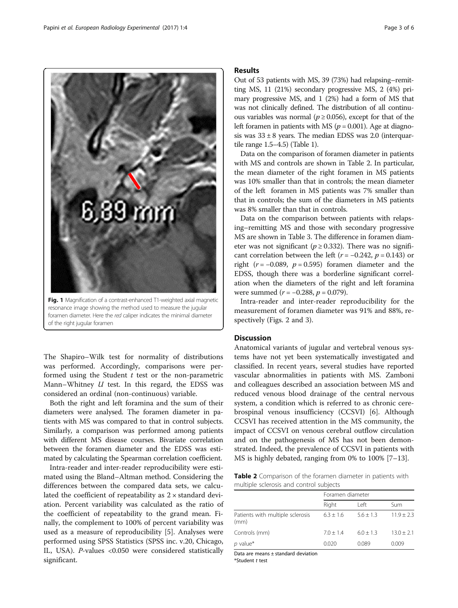<span id="page-2-0"></span>

foramen diameter. Here the red caliper indicates the minimal diameter of the right jugular foramen

The Shapiro–Wilk test for normality of distributions was performed. Accordingly, comparisons were performed using the Student  $t$  test or the non-parametric Mann–Whitney  $U$  test. In this regard, the EDSS was considered an ordinal (non-continuous) variable.

Both the right and left foramina and the sum of their diameters were analysed. The foramen diameter in patients with MS was compared to that in control subjects. Similarly, a comparison was performed among patients with different MS disease courses. Bivariate correlation between the foramen diameter and the EDSS was estimated by calculating the Spearman correlation coefficient.

Intra-reader and inter-reader reproducibility were estimated using the Bland–Altman method. Considering the differences between the compared data sets, we calculated the coefficient of repeatability as  $2 \times$  standard deviation. Percent variability was calculated as the ratio of the coefficient of repeatability to the grand mean. Finally, the complement to 100% of percent variability was used as a measure of reproducibility [\[5](#page-4-0)]. Analyses were performed using SPSS Statistics (SPSS inc. v.20, Chicago, IL, USA). P-values <0.050 were considered statistically significant.

#### Results

Out of 53 patients with MS, 39 (73%) had relapsing–remitting MS, 11 (21%) secondary progressive MS, 2 (4%) primary progressive MS, and 1 (2%) had a form of MS that was not clinically defined. The distribution of all continuous variables was normal ( $p \ge 0.056$ ), except for that of the left foramen in patients with MS ( $p = 0.001$ ). Age at diagnosis was  $33 \pm 8$  years. The median EDSS was 2.0 (interquartile range 1.5–4.5) (Table [1](#page-1-0)).

Data on the comparison of foramen diameter in patients with MS and controls are shown in Table 2. In particular, the mean diameter of the right foramen in MS patients was 10% smaller than that in controls; the mean diameter of the left foramen in MS patients was 7% smaller than that in controls; the sum of the diameters in MS patients was 8% smaller than that in controls.

Data on the comparison between patients with relapsing–remitting MS and those with secondary progressive MS are shown in Table [3.](#page-3-0) The difference in foramen diameter was not significant ( $p \ge 0.332$ ). There was no significant correlation between the left ( $r = -0.242$ ,  $p = 0.143$ ) or right ( $r = -0.089$ ,  $p = 0.595$ ) foramen diameter and the EDSS, though there was a borderline significant correlation when the diameters of the right and left foramina were summed ( $r = -0.288$ ,  $p = 0.079$ ).

Intra-reader and inter-reader reproducibility for the measurement of foramen diameter was 91% and 88%, respectively (Figs. [2](#page-3-0) and [3](#page-4-0)).

#### **Discussion**

Anatomical variants of jugular and vertebral venous systems have not yet been systematically investigated and classified. In recent years, several studies have reported vascular abnormalities in patients with MS. Zamboni and colleagues described an association between MS and reduced venous blood drainage of the central nervous system, a condition which is referred to as chronic cerebrospinal venous insufficiency (CCSVI) [[6\]](#page-4-0). Although CCSVI has received attention in the MS community, the impact of CCSVI on venous cerebral outflow circulation and on the pathogenesis of MS has not been demonstrated. Indeed, the prevalence of CCSVI in patients with MS is highly debated, ranging from 0% to 100% [\[7](#page-5-0)–[13\]](#page-5-0).

Table 2 Comparison of the foramen diameter in patients with multiple sclerosis and control subjects

|                                          | Foramen diameter |             |              |  |
|------------------------------------------|------------------|-------------|--------------|--|
|                                          | Right            | Left        | Sum          |  |
| Patients with multiple sclerosis<br>(mm) | $6.3 + 1.6$      | $5.6 + 1.3$ | $11.9 + 2.3$ |  |
| Controls (mm)                            | $7.0 + 1.4$      | $6.0 + 1.3$ | $13.0 + 2.1$ |  |
| $p$ value*                               | 0.020            | 0.089       | 0.009        |  |

Data are means ± standard deviation

\*Student t test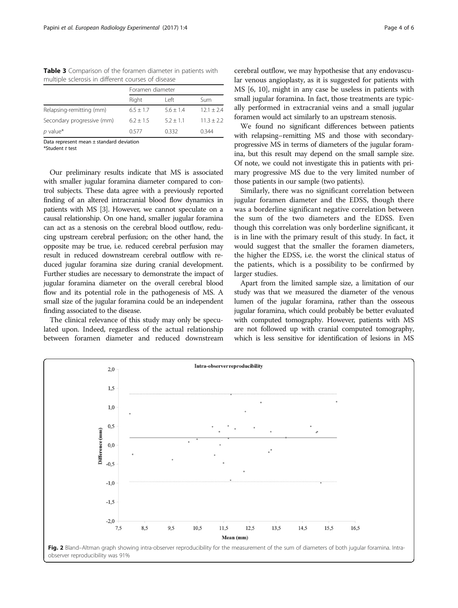<span id="page-3-0"></span>Table 3 Comparison of the foramen diameter in patients with multiple sclerosis in different courses of disease

|                            | Foramen diameter |             |                |  |
|----------------------------|------------------|-------------|----------------|--|
|                            | Right            | Left        | Sum            |  |
| Relapsing-remitting (mm)   | $6.5 + 1.7$      | $5.6 + 1.4$ | $12.1 + 2.4$   |  |
| Secondary progressive (mm) | $6.2 + 1.5$      | $5.2 + 1.1$ | $11.3 \pm 2.2$ |  |
| $p$ value*                 | 0.577            | 0.332       | 0.344          |  |

Data represent mean ± standard deviation

\*Student t test

Our preliminary results indicate that MS is associated with smaller jugular foramina diameter compared to control subjects. These data agree with a previously reported finding of an altered intracranial blood flow dynamics in patients with MS [[3\]](#page-4-0). However, we cannot speculate on a causal relationship. On one hand, smaller jugular foramina can act as a stenosis on the cerebral blood outflow, reducing upstream cerebral perfusion; on the other hand, the opposite may be true, i.e. reduced cerebral perfusion may result in reduced downstream cerebral outflow with reduced jugular foramina size during cranial development. Further studies are necessary to demonstrate the impact of jugular foramina diameter on the overall cerebral blood flow and its potential role in the pathogenesis of MS. A small size of the jugular foramina could be an independent finding associated to the disease.

The clinical relevance of this study may only be speculated upon. Indeed, regardless of the actual relationship between foramen diameter and reduced downstream

cerebral outflow, we may hypothesise that any endovascular venous angioplasty, as it is suggested for patients with MS [\[6](#page-4-0), [10](#page-5-0)], might in any case be useless in patients with small jugular foramina. In fact, those treatments are typically performed in extracranial veins and a small jugular foramen would act similarly to an upstream stenosis.

We found no significant differences between patients with relapsing–remitting MS and those with secondaryprogressive MS in terms of diameters of the jugular foramina, but this result may depend on the small sample size. Of note, we could not investigate this in patients with primary progressive MS due to the very limited number of those patients in our sample (two patients).

Similarly, there was no significant correlation between jugular foramen diameter and the EDSS, though there was a borderline significant negative correlation between the sum of the two diameters and the EDSS. Even though this correlation was only borderline significant, it is in line with the primary result of this study. In fact, it would suggest that the smaller the foramen diameters, the higher the EDSS, i.e. the worst the clinical status of the patients, which is a possibility to be confirmed by larger studies.

Apart from the limited sample size, a limitation of our study was that we measured the diameter of the venous lumen of the jugular foramina, rather than the osseous jugular foramina, which could probably be better evaluated with computed tomography. However, patients with MS are not followed up with cranial computed tomography, which is less sensitive for identification of lesions in MS

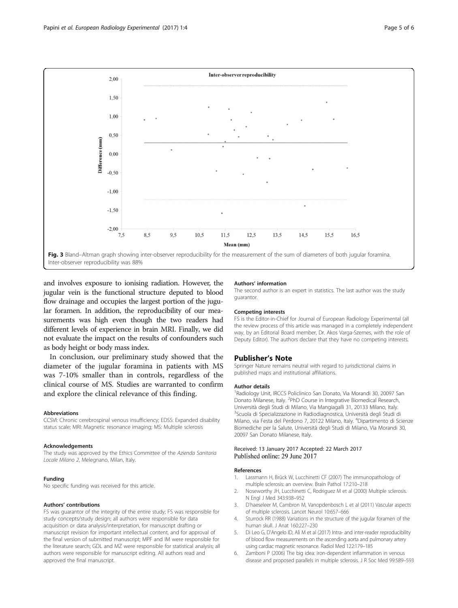<span id="page-4-0"></span>

and involves exposure to ionising radiation. However, the jugular vein is the functional structure deputed to blood flow drainage and occupies the largest portion of the jugular foramen. In addition, the reproducibility of our measurements was high even though the two readers had different levels of experience in brain MRI. Finally, we did not evaluate the impact on the results of confounders such as body height or body mass index.

In conclusion, our preliminary study showed that the diameter of the jugular foramina in patients with MS was 7-10% smaller than in controls, regardless of the clinical course of MS. Studies are warranted to confirm and explore the clinical relevance of this finding.

#### Abbreviations

CCSVI: Chronic cerebrospinal venous insufficiency; EDSS: Expanded disability status scale; MRI: Magnetic resonance imaging; MS: Multiple sclerosis

#### Acknowledgements

The study was approved by the Ethics Committee of the Azienda Sanitaria Locale Milano 2, Melegnano, Milan, Italy.

#### Funding

No specific funding was received for this article.

#### Authors' contributions

FS was guarantor of the integrity of the entire study; FS was responsible for study concepts/study design; all authors were responsible for data acquisition or data analysis/interpretation, for manuscript drafting or manuscript revision for important intellectual content, and for approval of the final version of submitted manuscript; MPF and IM were responsible for the literature search; GDL and MZ were responsible for statistical analysis; all authors were responsible for manuscript editing. All authors read and approved the final manuscript.

#### Authors' information

The second author is an expert in statistics. The last author was the study guarantor.

#### Competing interests

FS is the Editor-in-Chief for Journal of European Radiology Experimental (all the review process of this article was managed in a completely independent way, by an Editorial Board member, Dr. Akos Varga-Szemes, with the role of Deputy Editor). The authors declare that they have no competing interests.

#### Publisher's Note

Springer Nature remains neutral with regard to jurisdictional claims in published maps and institutional affiliations.

#### Author details

<sup>1</sup>Radiology Unit, IRCCS Policlinico San Donato, Via Morandi 30, 20097 San Donato Milanese, Italy. <sup>2</sup>PhD Course in Integrative Biomedical Research, Università degli Studi di Milano, Via Mangiagalli 31, 20133 Milano, Italy. <sup>3</sup>Scuola di Specializzazione in Radiodiagnostica, Università degli Studi di Milano, via Festa del Perdono 7, 20122 Milano, Italy. <sup>4</sup>Dipartimento di Scienze Biomediche per la Salute, Università degli Studi di Milano, Via Morandi 30, 20097 San Donato Milanese, Italy.

# Received: 13 January 2017 Accepted: 22 March 2017

#### References

- 1. Lassmann H, Brück W, Lucchinetti CF (2007) The immunopathology of multiple sclerosis: an overview. Brain Pathol 17:210–218
- 2. Noseworthy JH, Lucchinetti C, Rodriguez M et al (2000) Multiple sclerosis. N Engl J Med 343:938–952
- 3. D'haeseleer M, Cambron M, Vanopdenbosch L et al (2011) Vascular aspects of multiple sclerosis. Lancet Neurol 10:657–666
- 4. Sturrock RR (1988) Variations in the structure of the jugular foramen of the human skull. J Anat 160:227–230
- 5. Di Leo G, D'Angelo ID, Alì M et al (2017) Intra- and inter-reader reproducibility of blood flow measurements on the ascending aorta and pulmonary artery using cardiac magnetic resonance. Radiol Med 122:179–185
- 6. Zamboni P (2006) The big idea: iron-dependent inflammation in venous disease and proposed parallels in multiple sclerosis. J R Soc Med 99:589–593